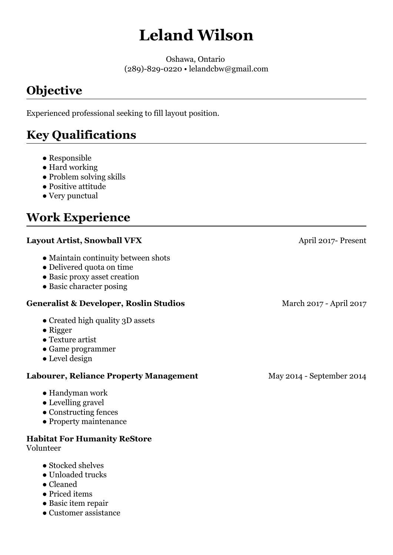# **Leland Wilson**

Oshawa, Ontario (289)-829-0220 • lelandcbw@gmail.com

# **Objective**

Experienced professional seeking to fill layout position.

# **Key Qualifications**

- Responsible
- Hard working
- Problem solving skills
- Positive attitude
- Very punctual

# **Work Experience**

#### **Layout Artist, Snowball VFX**

- Maintain continuity between shots
- Delivered quota on time
- Basic proxy asset creation
- Basic character posing

#### **Generalist & Developer, Roslin Studios**

- Created high quality 3D assets
- Rigger
- Texture artist
- Game programmer
- Level design

#### **Labourer, Reliance Property Management**

- Handyman work
- Levelling gravel
- Constructing fences
- Property maintenance

#### **Habitat For Humanity ReStore**

Volunteer

- Stocked shelves
- Unloaded trucks
- Cleaned
- Priced items
- Basic item repair
- Customer assistance

April 2017- Present

March 2017 - April 2017

May 2014 - September 2014